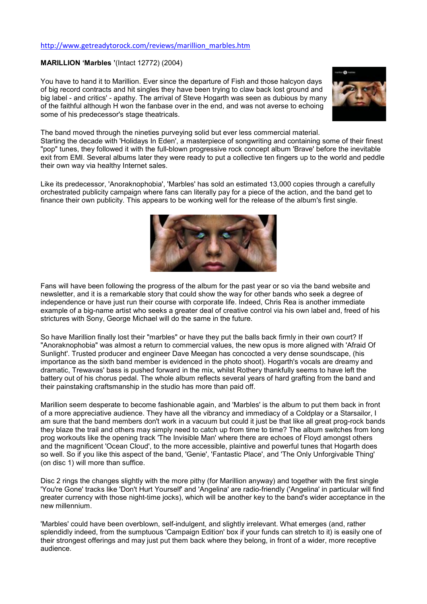## http://www.getreadytorock.com/reviews/marillion\_marbles.htm

## MARILLION 'Marbles '(Intact 12772) (2004)

You have to hand it to Marillion. Ever since the departure of Fish and those halcyon days of big record contracts and hit singles they have been trying to claw back lost ground and big label - and critics' - apathy. The arrival of Steve Hogarth was seen as dubious by many of the faithful although H won the fanbase over in the end, and was not averse to echoing some of his predecessor's stage theatricals.



The band moved through the nineties purveying solid but ever less commercial material.

Starting the decade with 'Holidays In Eden', a masterpiece of songwriting and containing some of their finest "pop" tunes, they followed it with the full-blown progressive rock concept album 'Brave' before the inevitable exit from EMI. Several albums later they were ready to put a collective ten fingers up to the world and peddle their own way via healthy Internet sales.

Like its predecessor, 'Anoraknophobia', 'Marbles' has sold an estimated 13,000 copies through a carefully orchestrated publicity campaign where fans can literally pay for a piece of the action, and the band get to finance their own publicity. This appears to be working well for the release of the album's first single.



Fans will have been following the progress of the album for the past year or so via the band website and newsletter, and it is a remarkable story that could show the way for other bands who seek a degree of independence or have just run their course with corporate life. Indeed, Chris Rea is another immediate example of a big-name artist who seeks a greater deal of creative control via his own label and, freed of his strictures with Sony, George Michael will do the same in the future.

So have Marillion finally lost their "marbles" or have they put the balls back firmly in their own court? If "Anoraknophobia" was almost a return to commercial values, the new opus is more aligned with 'Afraid Of Sunlight'. Trusted producer and engineer Dave Meegan has concocted a very dense soundscape, (his importance as the sixth band member is evidenced in the photo shoot). Hogarth's vocals are dreamy and dramatic, Trewavas' bass is pushed forward in the mix, whilst Rothery thankfully seems to have left the battery out of his chorus pedal. The whole album reflects several years of hard grafting from the band and their painstaking craftsmanship in the studio has more than paid off.

Marillion seem desperate to become fashionable again, and 'Marbles' is the album to put them back in front of a more appreciative audience. They have all the vibrancy and immediacy of a Coldplay or a Starsailor, I am sure that the band members don't work in a vacuum but could it just be that like all great prog-rock bands they blaze the trail and others may simply need to catch up from time to time? The album switches from long prog workouts like the opening track 'The Invisible Man' where there are echoes of Floyd amongst others and the magnificent 'Ocean Cloud', to the more accessible, plaintive and powerful tunes that Hogarth does so well. So if you like this aspect of the band, 'Genie', 'Fantastic Place', and 'The Only Unforgivable Thing' (on disc 1) will more than suffice.

Disc 2 rings the changes slightly with the more pithy (for Marillion anyway) and together with the first single 'You're Gone' tracks like 'Don't Hurt Yourself' and 'Angelina' are radio-friendly ('Angelina' in particular will find greater currency with those night-time jocks), which will be another key to the band's wider acceptance in the new millennium.

'Marbles' could have been overblown, self-indulgent, and slightly irrelevant. What emerges (and, rather splendidly indeed, from the sumptuous 'Campaign Edition' box if your funds can stretch to it) is easily one of their strongest offerings and may just put them back where they belong, in front of a wider, more receptive audience.